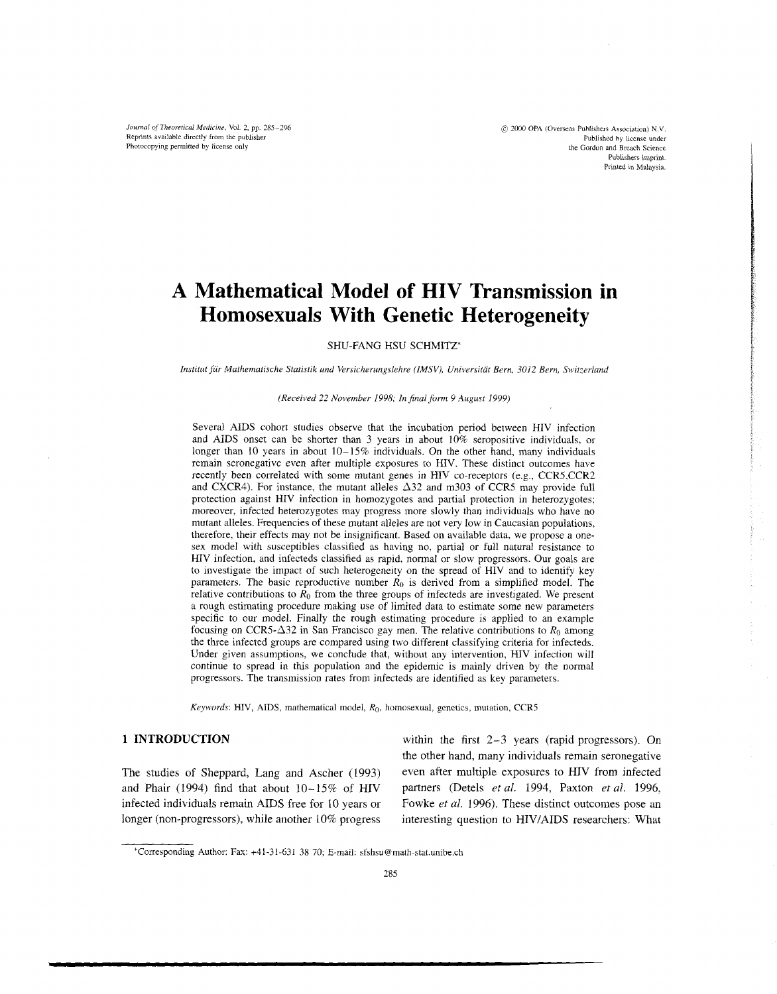Journal of *Theoretical Medrcinc,* Vol. **2,** pp. *285-296*  Reprints available directly from the publisher Photocopying permitted by license only

 $@$  2000 OPA (Overseas Publishers Association) N.V. Published hy license under the Gordon and Breach Science Publishers imprint. Printed in Malaysia.

# **A Mathematical Model of HIV Transmission in Homosexuals With Genetic Heterogeneity**

SHU-FANG HSU SCHMITZ\*

Institut für Mathematische Statistik und Versicherungslehre (IMSV), Universität Bern, 3012 Bern, Switzerland

#### *(Received 22 November 1998: In final form 9 August 1999)*

Several AIDS cohort studies observe that the incubation period between HIV infection and AIDS onset can be shorter than 3 years in about 10% seropositive individuals, or longer than 10 years in about 10-15% individuals. On the other hand, many individuals remain seronegative even after multiple exposures to HIV. These distinct outcomes have recently been correlated with some mutant genes in HIV co-receptors (e.g., CCR5,CCR2 and CXCR4). For instance, the mutant alleles  $\Delta$ 32 and m303 of CCR5 may provide full protection against HIV infection in homozygotes and partial protection in heterozygotes; moreover, infected heterozygotes may progress more slowly than individuals who have no mutant alleles. Frequencies of these mutant alleles are not very low in Caucasian populations, therefore, their effects may not be insignificant. Based on available data, we propose a onesex model with susceptibles classified as having no, partial or full natural resistance to HIV infection, and infecteds classified as rapid, normal or slow progressors. Our goals are to investigate the impact of such heterogeneity on the spread of HIV and to identify key parameters. The basic reproductive number *Ro* is derived from a simplified model. The relative contributions to  $\hat{R}_0$  from the three groups of infecteds are investigated. We present a rough estimating procedure making use of limited data to estimate some new parameters specific to our model. Finally the rough estimating procedure is applied to an example focusing on CCR5- $\Delta$ 32 in San Francisco gay men. The relative contributions to  $R_0$  among the three infected groups are compared using two different classifying criteria for infecteds. Under given assumptions, we conclude that, without any intervention, HIV infection will continue to spread in this population and the epidemic is mainly driven by the normal progressors. The transmission rates from infecteds are identified as key parameters.

*Keywords: HIV, AIDS,* mathematical model, *Ro,* homosexual, genetics, mutation, CCRS

and Phair (1994) find that about 10- 15% of HIV partners (Detels *et nl.* 1994, Paxton *et al.* 1996, infected individuals remain AIDS free for 10 years or Fowke *et al.* 1996). These distinct outcomes pose an longer (non-progressors), while another 10% progress interesting question to HIV/AIDS researchers: What

**1 INTRODUCTION and intervals within the first 2-3 years (rapid progressors).** On the other hand, many individuals remain seronegative The studies of Sheppard, Lang and Ascher (1993) even after multiple exposures to HIV from infected

<sup>\*</sup>Corresponding Author: Fax: +41-31-631 38 70; E-mail: sfshsu@math-stat.unibe.ch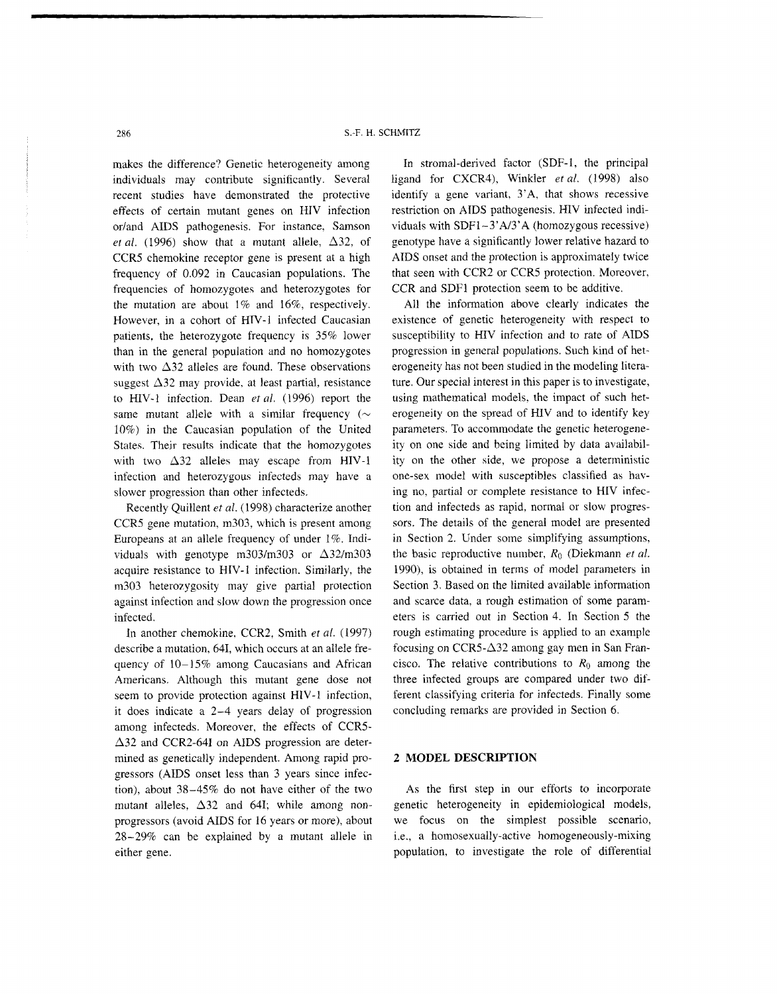makes the difference? Genetic heterogeneity among individuals may contribute significantly. Several recent studies have demonstrated the protective effects of certain mutant genes on HIV infection or/and AIDS pathogenesis. For instance, Samson *et al.* (1996) show that a mutant allele,  $\Delta 32$ , of CCRS chemokine receptor gene is present at a high frequency of 0.092 in Caucasian populations. The frequencies of homozygotes and heterozygotes for the mutation are about 1% and 16%, respectively. However, in a cohort of HIV-1 infected Caucasian patients, the heterozygote frequency is 35% lower than in the general population and no homozygotes with two  $\Delta$ 32 alleles are found. These observations suggest  $\Delta$ 32 may provide, at least partial, resistance to HIV-1 infection. Dean *et al.* (1996) report the same mutant allele with a similar frequency ( $\sim$ 10%) in the Caucasian population of the United States. Their results indicate that the homozygotes with two  $\Delta 32$  alleles may escape from HIV-1 infection and heterozygous infecteds may have a slower progression than other infecteds.

Recently Quillent *et* al. (1998) characterize another CCRS gene mutation, m303, which is present among Europeans at an allele frequency of under 1%. Individuals with genotype m303/m303 or  $\Delta$ 32/m303 acquire resistance to HIV-I infection. Similarly, the m303 heterozygosity may give partial protection against infection and slow down the progression once infected.

In another chemokine, CCR2, Smith et al. (1997) describe a mutation, 641, which occurs at an allele frequency of  $10-15\%$  among Caucasians and African Americans. Although this mutant gene dose not seem to provide protection against HIV-1 infection, it does indicate a 2-4 years delay of progression among infecteds. Moreover, the effects of CCR5-  $\Delta$ 32 and CCR2-64I on AIDS progression are determined as genetically independent. Among rapid progressors (AIDS onset less than 3 years since infection), about 38-45% do not have either of the two mutant alleles,  $\Delta 32$  and 641; while among nonprogressors (avoid AIDS for 16 years or more), about 28-29% can be explained by a mutant allele in either gene.

In stromal-derived factor (SDF-1, the principal ligand for CXCR4), Winkler *et al.* (1998) also identify a gene variant, 3'A, that shows recessive restriction on AIDS pathogenesis. HIV infected individuals with  $SDF1-3'A/3'A$  (homozygous recessive) genotype have a significantly lower relative hazard to AIDS onset and the protection is approximately twice that seen with CCR2 or CCRS protection. Moreover, CCR and SDFl protection seem to be additive.

All the information above clearly indicates the existence of genetic heterogeneity with respect to susceptibility to HIV infection and to rate of AIDS progression in general populations. Such kind of heterogeneity has not been studied in the modeling literature. Our special interest in this paper is to investigate, using mathematical models. the impact of such heterogeneity on the spread of HIV and to identify key parameters. To accommodate the genetic heterogeneity on one side and being limited by data availability on the other side, we propose a deterministic one-sex model with susceptibles classified as having no, partial or complete resistance to HIV infection and infecteds as rapid, normal or slow progressors. The details of the general model are presented in Section 2. Under some simplifying assumptions, the basic reproductive number, *Ro* (Diekmann *et al.*  1990), is obtained in terms of model parameters in Section 3. Based on the limited available information and scarce data, a rough estimation of some parameters is carried out in Section 4. In Section 5 the rough estimating procedure is applied to an example focusing on  $CCR5-\Delta32$  among gay men in San Francisco. The relative contributions to  $R_0$  among the three infected groups are compared under two different classifying criteria for infecteds. Finally some concluding remarks are provided in Section 6.

# **2 MODEL DESCRIPTION**

As the first step in our efforts to incorporate genetic heterogeneity in epidemiological models, we focus on the simplest possible scenario, i.e., a homosexually-active homogeneously-mixing population, to investigate the role of differential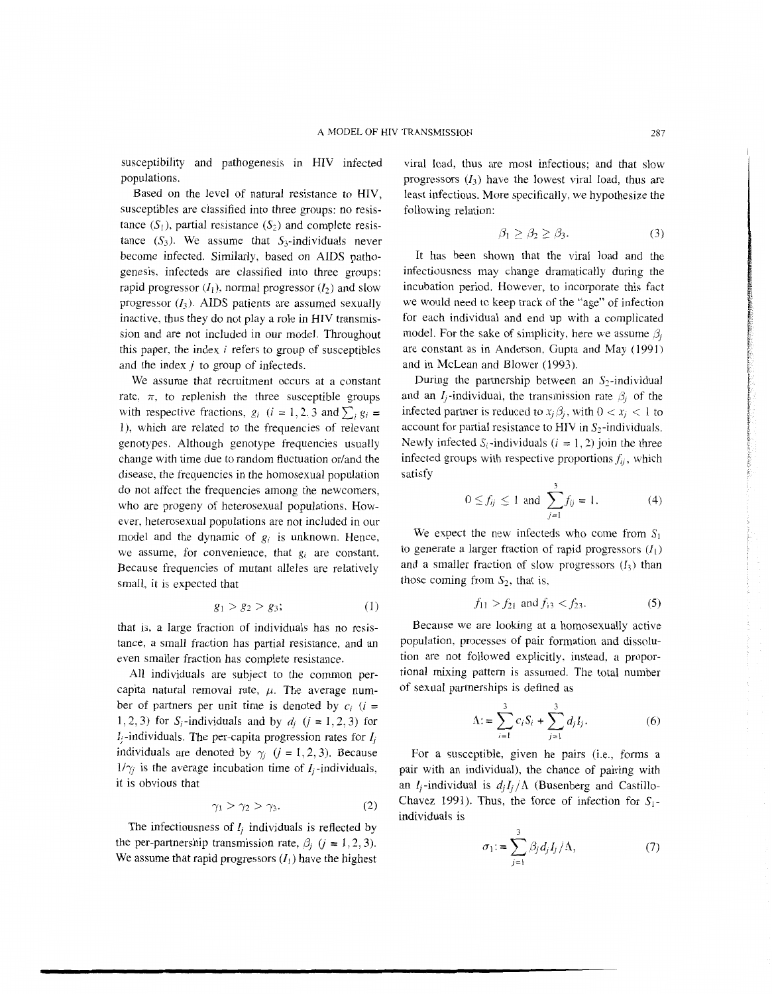susceptibility and pathogenesis in HIV infected populations.

Based on the level of natural resistance to HIV, susceptibles are classified into three groups: no resistance  $(S_1)$ , partial resistance  $(S_2)$  and complete resistance  $(S_3)$ . We assume that  $S_3$ -individuals never become infected. Similarly, based on AIDS pathogenesis, infecteds are classified into three groups: rapid progressor  $(I_1)$ , normal progressor  $(I_2)$  and slow progressor  $(I_3)$ . AIDS patients are assumed sexually inactive, thus they do not play a role in HIV transmission and are not included in our model. Throughout this paper, the index  $i$  refers to group of susceptibles and the index *j* to group of infecteds.

We assume that recruitment occurs at a constant rate,  $\pi$ , to replenish the three susceptible groups with respective fractions,  $g_i$  ( $i = 1, 2, 3$  and  $\sum_i g_i =$ 1). which are related to the frequencies of relevant genotypes. Although genotype frequencies usually change with time due to random fluctuation or/and the disease, the frequencies in the homosexual population do not affect the frequencies among the newcomers, who are progeny of heterosexual populations. However, heterosexual populations are not included in our model and the dynamic of  $g_i$  is unknown. Hence, we assume, for convenience, that *gi* are constant. Because frequencies of mutant alleles are relatively small, it is expected that

$$
g_1 > g_2 > g_3; \t\t(1)
$$

that is, a large fraction of individuals has no resistance, a small fraction has partial resistance, and an even smaller fraction has complete resistance.

All individuals are subject to the common percapita natural removal rate,  $\mu$ . The average number of partners per unit time is denoted by  $c_i$  (i = 1, 2, 3) for  $S_i$ -individuals and by  $d_i$  ( $i = 1, 2, 3$ ) for  $I_i$ -individuals. The per-capita progression rates for  $I_i$ individuals are denoted by  $\gamma_i$  ( $i = 1, 2, 3$ ). Because  $1/\gamma_i$  is the average incubation time of  $I_i$ -individuals, it is obvious that

$$
\gamma_1 > \gamma_2 > \gamma_3. \tag{2}
$$

The infectiousness of *I<sub>i</sub>* individuals is reflected by the per-partnership transmission rate,  $\beta_i$  ( $j = 1, 2, 3$ ). We assume that rapid progressors  $(I_1)$  have the highest

viral load, thus are most infectious; and that slow progressors  $(I_3)$  have the lowest viral load, thus are least infectious. More specifically, we hypothesize the following relation:

$$
\beta_1 \ge \beta_2 \ge \beta_3. \tag{3}
$$

It has been shown that the viral load and the infectiousness may change dramatically during the incubation period. However, to incorporate this fact we would need to keep track of the "age" of infection for each individual and end up with a complicated model. For the sake of simplicity, here we assume  $\beta_i$ are constant as in Anderson, Gupta and May (1991) and in McLean and Blower (1993).

During the partnership between an  $S_2$ -individual and an  $I_i$ -individual, the transmission rate  $\beta_i$  of the infected partner is reduced to  $x_i \beta_i$ , with  $0 < x_i < 1$  to account for partial resistance to HIV in  $S_2$ -individuals. Newly infected  $S_i$ -individuals ( $i = 1, 2$ ) join the three infected groups with respective proportions  $f_{ij}$ , which satisfy

$$
0 \le f_{ij} \le 1
$$
 and  $\sum_{j=1}^{3} f_{ij} = 1.$  (4)

We expect the new infecteds who come from  $S_1$ to generate a larger fraction of rapid progressors  $(I_1)$ and a smaller fraction of slow progressors  $(I_3)$  than those coming from  $S_2$ , that is,

$$
f_{11} > f_{21} \text{ and } f_{13} < f_{23}. \tag{5}
$$

Because we are looking at a homosexually active population, processes of pair formation and dissolution are not followed explicitly, instead, a proportional mixing pattern is assumed. The total number of sexual partnerships is defined as

$$
\Lambda = \sum_{i=1}^{3} c_i S_i + \sum_{j=1}^{3} d_j I_j.
$$
 (6)

For a susceptible, given he pairs (i.e., forms a pair with an individual), the chance of pairing with an  $I_i$ -individual is  $d_i I_i / \Lambda$  (Busenberg and Castillo-Chavez 1991). Thus, the force of infection for  $S_1$ individuals is

$$
\sigma_1 = \sum_{j=1}^3 \beta_j d_j I_j / \Lambda, \qquad (7)
$$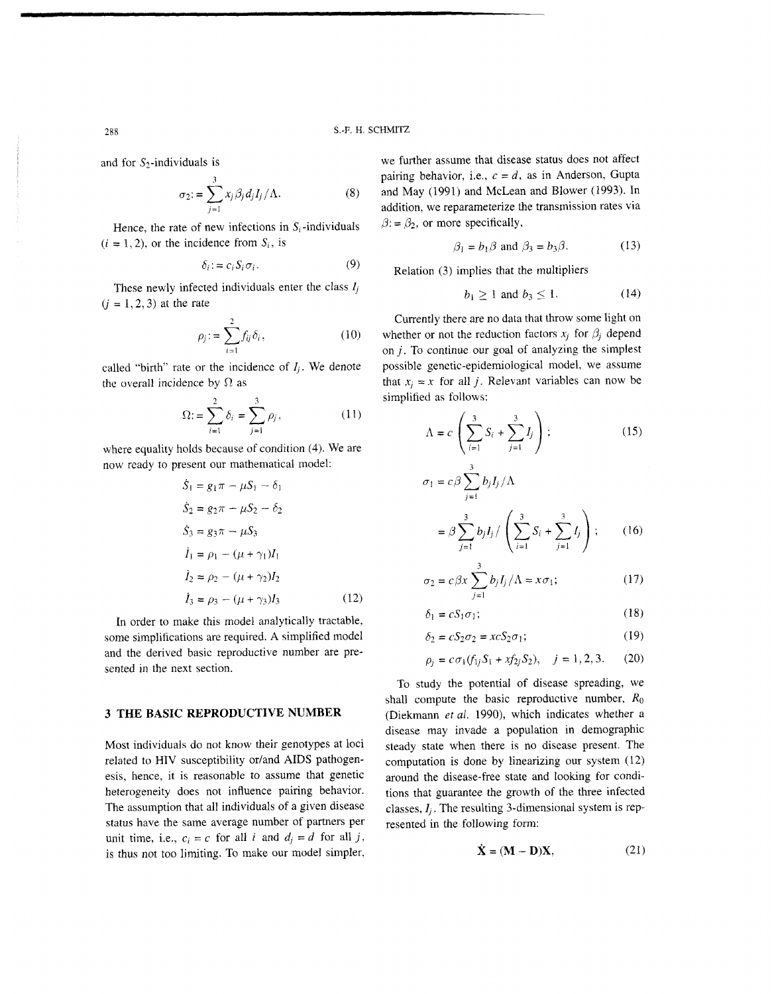$$
\sigma_2 = \sum_{j=1}^3 x_j \beta_j d_j I_j / \Lambda. \tag{8}
$$

Hence, the rate of new infections in  $S_i$ -individuals  $\beta := \beta_2$ , or more specifically,  $(i = 1, 2)$ , or the incidence from  $S_i$ , is

$$
\delta_i := c_i S_i \sigma_i. \tag{9}
$$

These newly infected individuals enter the class  $l_j$   $b_1 \ge 1$  and  $b_3 \le 1$ .<br>  $i = 1, 2, 3$  at the rate

$$
\rho_j := \sum_{i=1}^2 f_{ij} \delta_i, \qquad (10)
$$

the overall incidence by  $\Omega$  as that  $x_j = x$  for all j. Relevant variables can now be

Simplified as follows:  
\n
$$
\Omega := \sum_{i=1}^{2} \delta_i = \sum_{j=1}^{3} \rho_j,
$$
\n(11)

where equality holds because of condition (4). We are now ready to present our mathematical model:

$$
\dot{S}_1 = g_1 \pi - \mu S_1 - \delta_1
$$
\n
$$
\dot{S}_2 = g_2 \pi - \mu S_2 - \delta_2
$$
\n
$$
\dot{S}_3 = g_3 \pi - \mu S_3
$$
\n
$$
\dot{I}_1 = \rho_1 - (\mu + \gamma_1)I_1
$$
\n
$$
\dot{I}_2 = \rho_2 - (\mu + \gamma_2)I_2
$$
\n
$$
\dot{I}_3 = \rho_3 - (\mu + \gamma_3)I_3
$$
\n(12)

In order to make this model analytically tractable,  $\ell$ some simplifications are required. A simplified model and the derived basic reproductive number are presented in the next section.

Most individuals do not know their genotypes at loci related to HIV susceptibility or/and AIDS pathogenesis, hence, it is reasonable to assume that genetic heterogeneity does not influence pairing behavior. The assumption that all individuals of a given disease status have the same average number of partners per unit time, i.e.,  $c_i = c$  for all *i* and  $d_i = d$  for all *j*, is thus not too limiting. To make our model simpler,

and for  $S_2$ -individuals is we further assume that disease status does not affect pairing behavior, i.e.,  $c = d$ , as in Anderson, Gupta and May (1991) and McLean and Blower (1993). In addition, we reparameterize the transmission rates via

$$
\beta_1 = b_1 \beta \text{ and } \beta_3 = b_3 \beta. \tag{13}
$$

Relation (3) implies that the multipliers

$$
b_1 \ge 1 \text{ and } b_3 \le 1. \tag{14}
$$

*<sup>2</sup>*Currently there are no data that throw some light on whether or not the reduction factors  $x_j$  for  $\beta_j$  depend *i=l* on *j.* To continue our goal of analyzing the simplest called "birth" rate or the incidence of  $I_j$ . We denote possible genetic-epidemiological model, we assume simplified as follows:

$$
\sum_{i=1}^{N} \delta_i = \sum_{j=1}^{N} \rho_j, \qquad (11)
$$
\n
$$
\Lambda = c \left( \sum_{i=1}^{3} S_i + \sum_{j=1}^{3} I_j \right); \qquad (15)
$$
\nbecause of condition (4). We are

$$
\sigma_1 = c\beta \sum_{j=1}^{3} b_j I_j / \Lambda
$$
  
=  $\beta \sum_{j=1}^{3} b_j I_j / \left( \sum_{i=1}^{3} S_i + \sum_{j=1}^{3} I_j \right);$  (16)

$$
\sigma_2 = c \beta x \sum_{j=1}^{3} b_j I_j / \Lambda = x \sigma_1; \qquad (17)
$$

$$
\delta_1 = c S_1 \sigma_1; \tag{18}
$$

$$
\delta_2 = cS_2 \sigma_2 = xcS_2 \sigma_1; \tag{19}
$$

$$
\rho_j = c \sigma_1(f_{1j} S_1 + x f_{2j} S_2), \quad j = 1, 2, 3. \tag{20}
$$

To study the potential of disease spreading, we shall compute the basic reproductive number, *Ro*  **3 THE BASIC REPRODUCTIVE NUMBER** (Diekmann *et al.* 1990), which indicates whether a disease may invade a population in demographic steady state when there is no disease present. The computation is done by linearizing our system (12) around the disease-free state and looking for conditions that guarantee the growth of the three infected classes,  $I_i$ . The resulting 3-dimensional system is represented in the following form:

$$
\dot{\mathbf{X}} = (\mathbf{M} - \mathbf{D})\mathbf{X},\tag{21}
$$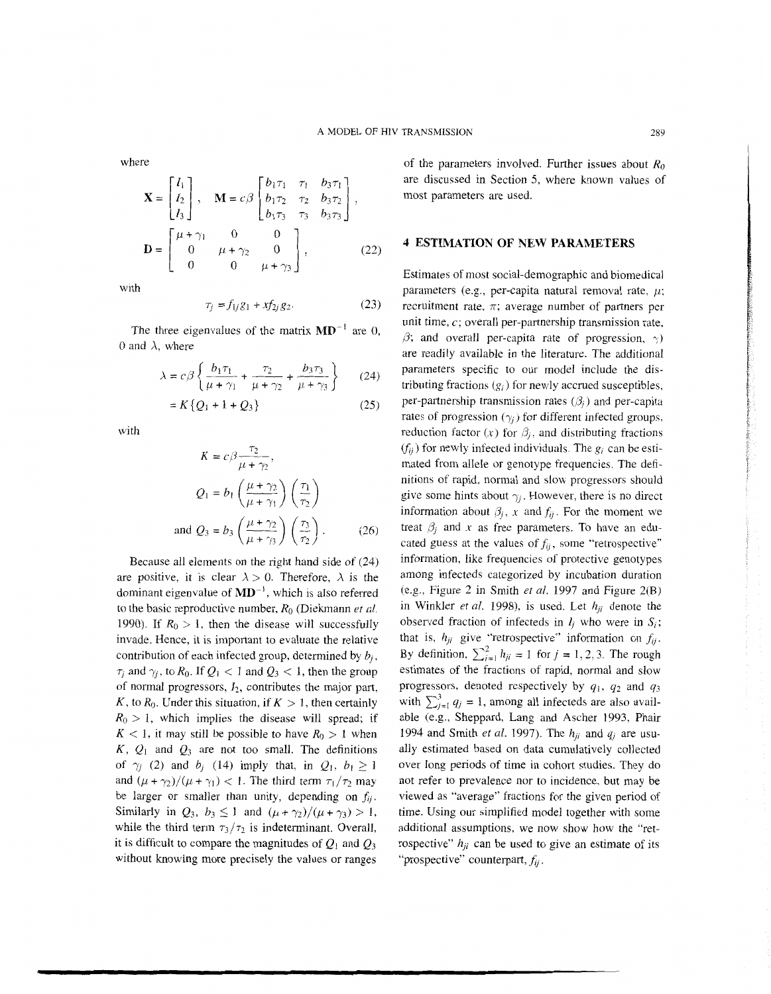where

$$
\mathbf{X} = \begin{bmatrix} I_1 \\ I_2 \\ I_3 \end{bmatrix}, \quad \mathbf{M} = c\beta \begin{bmatrix} b_1\tau_1 & \tau_1 & b_3\tau_1 \\ b_1\tau_2 & \tau_2 & b_3\tau_2 \\ b_1\tau_3 & \tau_3 & b_3\tau_3 \end{bmatrix},
$$

$$
\mathbf{D} = \begin{bmatrix} \mu + \gamma_1 & 0 & 0 \\ 0 & \mu + \gamma_2 & 0 \\ 0 & 0 & \mu + \gamma_3 \end{bmatrix},
$$
(22)

with

$$
\tau_j = f_{1j} g_1 + x f_{2j} g_2. \tag{23}
$$

The three eigenvalues of the matrix  $MD^{-1}$  are 0, 0 and  $\lambda$ , where

where  
\n
$$
\lambda = c \beta \left\{ \frac{b_1 \tau_1}{\mu + \gamma_1} + \frac{\tau_2}{\mu + \gamma_2} + \frac{b_3 \tau_3}{\mu + \gamma_3} \right\}
$$
 (24)

$$
= K\{Q_1 + 1 + Q_3\}
$$
 (25)

with

$$
K = c\beta \frac{\tau_2}{\mu + \gamma_2},
$$
  
\n
$$
Q_1 = b_1 \left( \frac{\mu + \gamma_2}{\mu + \gamma_1} \right) \left( \frac{\tau_1}{\tau_2} \right)
$$
  
\nand 
$$
Q_3 = b_3 \left( \frac{\mu + \gamma_2}{\mu + \gamma_3} \right) \left( \frac{\tau_3}{\tau_2} \right).
$$
 (26)

Because all elements on the right hand side of (24) are positive, it is clear  $\lambda > 0$ . Therefore,  $\lambda$  is the dominant eigenvalue of **MD',** which is also referred to the basic reproductive number, *Ro* (Diekmann *et al.*  1990). If  $R_0 > 1$ , then the disease will successfully invade. Hence, it is important to evaluate the relative contribution of each infected group, determined by *b;* ,  $\tau_i$  and  $\gamma_i$ , to  $R_0$ . If  $Q_1 < 1$  and  $Q_3 < 1$ , then the group of normal progressors, *12,* contributes the major part, *K*, to  $R_0$ . Under this situation, if  $K > 1$ , then certainly  $R_0 > 1$ , which implies the disease will spread; if  $K < 1$ , it may still be possible to have  $R_0 > 1$  when  $K$ ,  $Q_1$  and  $Q_3$  are not too small. The definitions of  $\gamma_i$  (2) and  $b_i$  (14) imply that, in  $Q_1$ ,  $b_1 \ge 1$ and  $(\mu + \gamma_2)/(\mu + \gamma_1) < 1$ . The third term  $\tau_1/\tau_2$  may be larger or smaller than unity, depending on  $f_{ij}$ . Similarly in  $Q_3$ ,  $b_3 \leq 1$  and  $(\mu + \gamma_2)/(\mu + \gamma_3) > 1$ , while the third term  $\tau_3/\tau_2$  is indeterminant. Overall, it is difficult to compare the magnitudes of  $Q_1$  and  $Q_3$ without knowing more precisely the values or ranges

of the parameters involved. Further issues about *Ro*  are discussed in Section 5, where known values of most parameters are used.

### **4 ESTIMATION OF NEW PARAMETERS**

Estimates of most social-demographic and biomedical parameters (e.g., per-capita natural removal rate,  $\mu$ ; recruitment rate,  $\pi$ ; average number of partners per unit time,  $c$ ; overall per-partnership transmission rate.  $\beta$ ; and overall per-capita rate of progression,  $\gamma$ ) are readily available in the literature. The additional parameters specific to our model include the distributing fractions  $(g_i)$  for newly accrued susceptibles, per-partnership transmission rates  $(\beta_i)$  and per-capita rates of progression  $(\gamma_i)$  for different infected groups, reduction factor  $(x)$  for  $\beta_i$ , and distributing fractions  $(f_{ii})$  for newly infected individuals. The  $g_i$  can be estimated from allele or genotype frequencies. The definitions of rapid, normal and slow progressors should give some hints about  $\gamma_i$ . However, there is no direct information about  $\beta_j$ , x and  $f_{ij}$ . For the moment we treat  $\beta_i$  and x as free parameters. To have an educated guess at the values of  $f_{ij}$ , some "retrospective" information, like frequencies of protective genotypes among infecteds categorized by incubation duration (e.g., Figure 2 in Smith *eta/.* 1997 and Figure 2(B) in Winkler *et al.* 1998), is used. Let  $h_{ii}$  denote the observed fraction of infecteds in  $I_j$  who were in  $S_i$ ; that is,  $h_{ji}$  give "retrospective" information on  $f_{ij}$ . By definition,  $\sum_{i=1}^{2} h_{ji} = 1$  for  $j = 1, 2, 3$ . The rough estimates of the fractions of rapid, normal and slow progressors, denoted respectively by  $q_1$ ,  $q_2$  and  $q_3$ with  $\sum_{i=1}^{3} q_i = 1$ , among all infecteds are also available (e.g., Sheppard, Lang and Ascher 1993, Phair 1994 and Smith *et* al. 1997). The *hji* and *q;* are usually estimated based on data cumulatively collected over long periods of time in cohort studies. They do not refer to prevalence nor to incidence, but may be viewed as "average" fractions for the given period of time. Using our simplified model together with some additional assumptions, we now show how the "retrospective"  $h_{ji}$  can be used to give an estimate of its "prospective" counterpart,  $f_{ij}$ .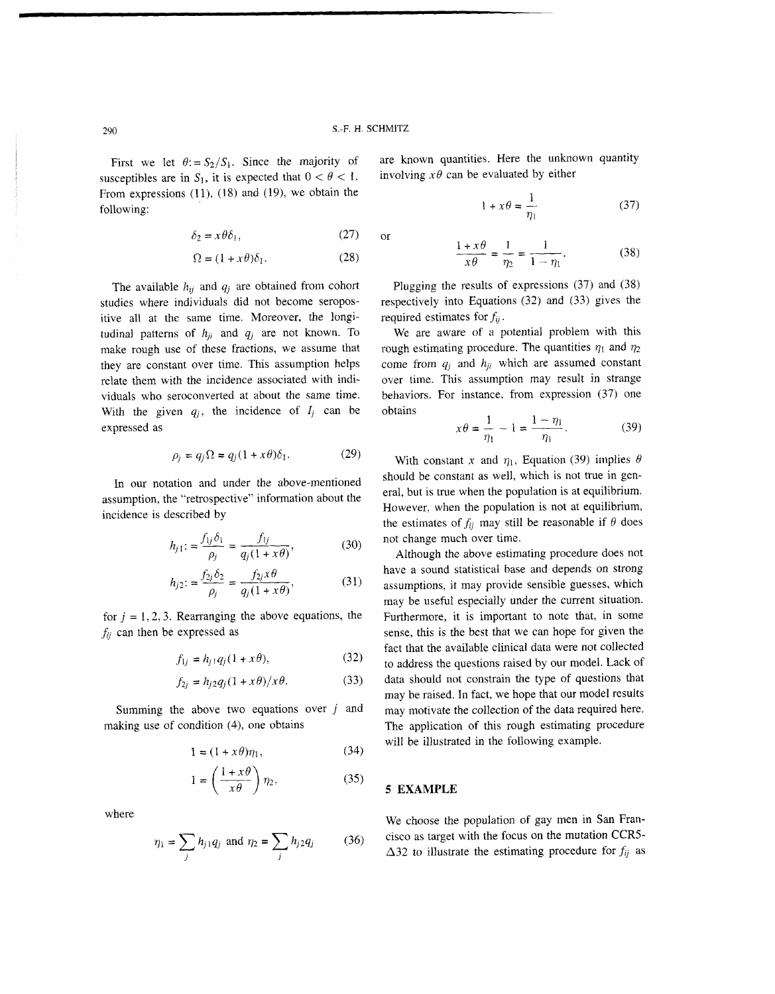**or** 

First we let  $\theta$ : =  $S_2/S_1$ . Since the majority of susceptibles are in  $S_1$ , it is expected that  $0 < \theta < 1$ . From expressions  $(11)$ ,  $(18)$  and  $(19)$ , we obtain the following:

$$
\delta_2 = x \theta \delta_1,\tag{27}
$$

$$
\Omega = (1 + x\theta)\delta_1. \tag{28}
$$

The available  $h_{ij}$  and  $q_j$  are obtained from cohort studies where individuals did not become seropositive all at the same time. Moreover, the longitudinal patterns of  $h_{ji}$  and  $q_j$  are not known. To make rough use of these fractions, we assume that they are constant over time. This assumption helps relate them with the incidence associated with individuals who seroconverted at about the same time. With the given  $q_i$ , the incidence of  $I_j$  can be expressed as

$$
\rho_j = q_j \Omega = q_j (1 + x\theta) \delta_1. \tag{29}
$$

In our notation and under the above-mentioned assumption, the "retrospective" information about the incidence is described by

$$
h_{j1} = \frac{f_{1j}\delta_1}{\rho_j} = \frac{f_{1j}}{q_j(1+x\theta)},
$$
 (30)

$$
h_{j2} := \frac{f_{2j}\delta_2}{\rho_j} = \frac{f_{2j}x\theta}{q_j(1+x\theta)},
$$
(31)

for  $j = 1, 2, 3$ . Rearranging the above equations, the  $f_{ii}$  can then be expressed as

$$
f_{1i} = h_{i1}q_i(1 + x\theta), \tag{32}
$$

$$
f_{2i} = h_{i2}q_i(1 + x\theta)/x\theta.
$$
 (33)

Summing the above two equations over  $j$  and making use of condition (4), one obtains

$$
1 = (1 + x\theta)\eta_1,\tag{34}
$$

$$
1 = \left(\frac{1+x\theta}{x\theta}\right)\eta_2,\tag{35}
$$

where

$$
\eta_1 = \sum_j h_{j1} q_j
$$
 and  $\eta_2 = \sum_j h_{j2} q_j$  (36)

are known quantities. Here the unknown quantity involving  $x\theta$  can be evaluated by either

$$
1 + x\theta = \frac{1}{\eta_1} \tag{37}
$$

$$
\frac{1+x\theta}{x\theta} = \frac{1}{\eta_2} = \frac{1}{1-\eta_1}.
$$
 (38)

Plugging the results of expressions (37) and (38) respectively into Equations (32) and (33) gives the required estimates for  $f_{ii}$ .

We are aware of a potential problem with this rough estimating procedure. The quantities  $\eta_1$  and  $\eta_2$ come from  $q_i$  and  $h_{ji}$  which are assumed constant over time. This assumption may result in strange behaviors. For instance, from expression (37) one obtains

$$
x\theta = \frac{1}{\eta_1} - 1 = \frac{1 - \eta_1}{\eta_1}.
$$
 (39)

With constant x and  $\eta_1$ , Equation (39) implies  $\theta$ should be constant as well, which is not true in general, but is true when the population is at equilibrium. However, when the population is not at equilibrium, the estimates of  $f_{ij}$  may still be reasonable if  $\theta$  does not change much over time.

Although the above estimating procedure does not have a sound statistical base and depends on strong assumptions, it may provide sensible guesses, which may be useful especially under the current situation. Furthermore, it is important to note that, in some sense, this is the best that we can hope for given the fact that the available clinical data were not collected to address the questions raised by our model. Lack of data should not constrain the type of questions that may be raised. In fact, we hope that our model results may motivate the collection of the data required here. The application of this rough estimating procedure will be illustrated in the following example.

#### **5 EXAMPLE**

We choose the population of gay men in San Francisco as target with the focus on the mutation CCRS- $\Delta$ 32 to illustrate the estimating procedure for  $f_{ij}$  as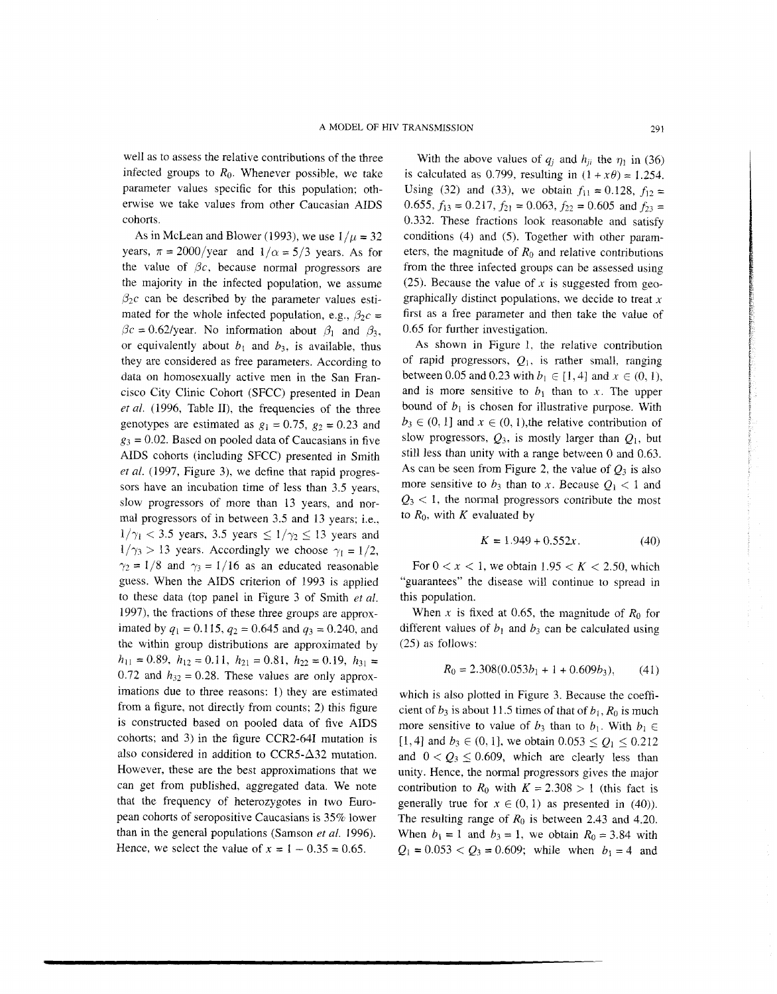well as to assess the relative contributions of the three infected groups to *Ro.* Whenever possible, we take parameter values specific for this population: otherwise we take values from other Caucasian AIDS cohorts.

As in McLean and Blower (1993), we use  $1/\mu = 32$ years,  $\pi = 2000$ /year and  $1/\alpha = 5/3$  years. As for the value of  $\beta c$ , because normal progressors are the majority in the infected population, we assume  $\beta_2c$  can be described by the parameter values estimated for the whole infected population, e.g.,  $\beta_2 c =$  $\beta c = 0.62$ /year. No information about  $\beta_1$  and  $\beta_3$ , or equivalently about  $b_1$  and  $b_3$ , is available, thus they are considered as free parameters. According to data on homosexually active men in the San Francisco City Clinic Cohort (SFCC) presented in Dean et al. (1996, Table II), the frequencies of the three genotypes are estimated as  $g_1 = 0.75$ ,  $g_2 = 0.23$  and  $g_3 = 0.02$ . Based on pooled data of Caucasians in five AIDS cohorts (including SFCC) presented in Smith *et* al. (1997, Figure 3), we define that rapid progressors have an incubation time of less than 3.5 years, slow progressors of more than 13 years, and normal progressors of in between 3.5 and 13 years; i.e.,  $1/\gamma_1 < 3.5$  years, 3.5 years  $\leq 1/\gamma_2 \leq 13$  years and  $1/\gamma_3 > 13$  years. Accordingly we choose  $\gamma_1 = 1/2$ ,  $\gamma_2 = 1/8$  and  $\gamma_3 = 1/16$  as an educated reasonable guess. When the AIDS criterion of 1993 is applied to these data (top panel in Figure 3 of Smith et al. 1997), the fractions of these three groups are approximated by  $q_1 = 0.115$ ,  $q_2 = 0.645$  and  $q_3 = 0.240$ , and the within group distributions are approximated by  $h_{11} = 0.89, h_{12} = 0.11, h_{21} = 0.81, h_{22} = 0.19, h_{31} =$ 0.72 and  $h_{32} = 0.28$ . These values are only approximations due to three reasons: 1) they are estimated from a figure, not directly from counts; 2) this figure is constructed based on pooled data of five AIDS cohorts; and 3) in the figure CCR2-641 mutation is also considered in addition to CCR5- $\Delta$ 32 mutation. However, these are the best approximations that we can get from published, aggregated data. We note that the frequency of heterozygotes in two European cohorts of seropositive Caucasians is 35% lower than in the general populations (Samson *et* al. 1996). Hence, we select the value of  $x = 1 - 0.35 = 0.65$ .

With the above values of  $q_i$  and  $h_{ii}$  the  $\eta_1$  in (36) is calculated as 0.799, resulting in  $(1 + x\theta) = 1.254$ . Using (32) and (33), we obtain  $f_{11} = 0.128$ ,  $f_{12} =$ 0.655,  $f_{13} = 0.217$ ,  $f_{21} = 0.063$ ,  $f_{22} = 0.605$  and  $f_{23} =$ 0.332. These fractions look reasonable and satisfy conditions (4) and (5). Together with other parameters, the magnitude of  $R_0$  and relative contributions from the three infected groups can be assessed using (25). Because the value of  $x$  is suggested from geographically distinct populations, we decide to treat  $x$ first as a free parameter and then take the value of 0.65 for further investigation.

As shown in Figure 1, the relative contribution of rapid progressors,  $Q_1$ , is rather small, ranging between 0.05 and 0.23 with  $b_1 \in [1, 4]$  and  $x \in (0, 1)$ , and is more sensitive to  $b_1$  than to x. The upper bound of  $b_1$  is chosen for illustrative purpose. With  $b_3 \in (0, 1]$  and  $x \in (0, 1)$ , the relative contribution of slow progressors,  $Q_3$ , is mostly larger than  $Q_1$ , but still less than unity with a range between 0 and 0.63. As can be seen from Figure 2, the value of  $Q_3$  is also more sensitive to  $b_3$  than to x. Because  $Q_1 < 1$  and  $Q_3$  < 1, the normal progressors contribute the most to  $R_0$ , with  $K$  evaluated by

$$
K = 1.949 + 0.552x. \tag{40}
$$

For  $0 < x < 1$ , we obtain  $1.95 < K < 2.50$ , which "guarantees" the disease will continue to spread in this population.

When x is fixed at 0.65, the magnitude of  $R_0$  for different values of  $b_1$  and  $b_3$  can be calculated using (25) as follows:

$$
R_0 = 2.308(0.053b_1 + 1 + 0.609b_3), \qquad (41)
$$

which is also plotted in Figure 3. Because the coefficient of  $b_3$  is about 11.5 times of that of  $b_1$ ,  $R_0$  is much more sensitive to value of  $b_3$  than to  $b_1$ . With  $b_1 \in$  $[1, 4]$  and  $b_3 \in (0, 1]$ , we obtain  $0.053 \le Q_1 \le 0.212$ and  $0 < Q_3 \leq 0.609$ , which are clearly less than unity. Hence, the normal progressors gives the major contribution to  $R_0$  with  $K = 2.308 > 1$  (this fact is generally true for  $x \in (0, 1)$  as presented in (40)). The resulting range of *Ro* is between 2.43 and 4.20. When  $b_1 = 1$  and  $b_3 = 1$ , we obtain  $R_0 = 3.84$  with  $Q_1 = 0.053 < Q_3 = 0.609$ ; while when  $b_1 = 4$  and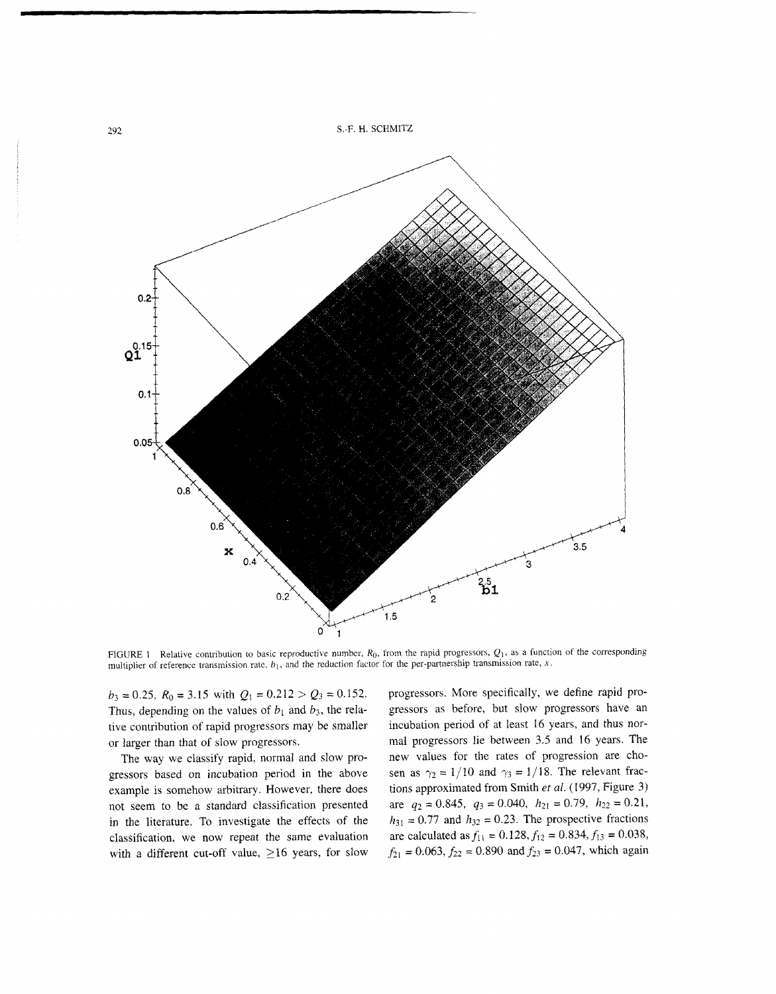

FIGURE 1 Relative contribution to basic reproductive number,  $R_0$ , from the rapid progressors,  $Q_1$ , as a function of the corresponding multiplier of reference transmission rate,  $b_1$ , and the reduction factor for the per-partnership transmission rate, x.

 $b_3 = 0.25$ ,  $R_0 = 3.15$  with  $Q_1 = 0.212 > Q_3 = 0.152$ . Thus, depending on the values of  $b_1$  and  $b_3$ , the relative contribution of rapid progressors may be smaller or larger than that of slow progressors.

The way we classify rapid, normal and slow progressors based on incubation period in the above example is somehow arbitrary. However, there does not seem to be a standard classification presented in the literature. To investigate the effects of the classification, we now repeat the same evaluation with a different cut-off value, **216** years, for slow

progressors. More specifically, we define rapid progressors as before, but slow progressors have an incubation period of at least 16 years, and thus normal progressors lie between 3.5 and 16 years. The new values for the rates of progression are chosen as  $\gamma_2 = 1/10$  and  $\gamma_3 = 1/18$ . The relevant fractions approximated from Smith **et** *al.* **(1997,** Figure **3)**  are  $q_2 = 0.845$ ,  $q_3 = 0.040$ ,  $h_{21} = 0.79$ ,  $h_{22} = 0.21$ ,  $h_{31} = 0.77$  and  $h_{32} = 0.23$ . The prospective fractions are calculated as  $f_{11} = 0.128$ ,  $f_{12} = 0.834$ ,  $f_{13} = 0.038$ ,  $f_{21} = 0.063$ ,  $f_{22} = 0.890$  and  $f_{23} = 0.047$ , which again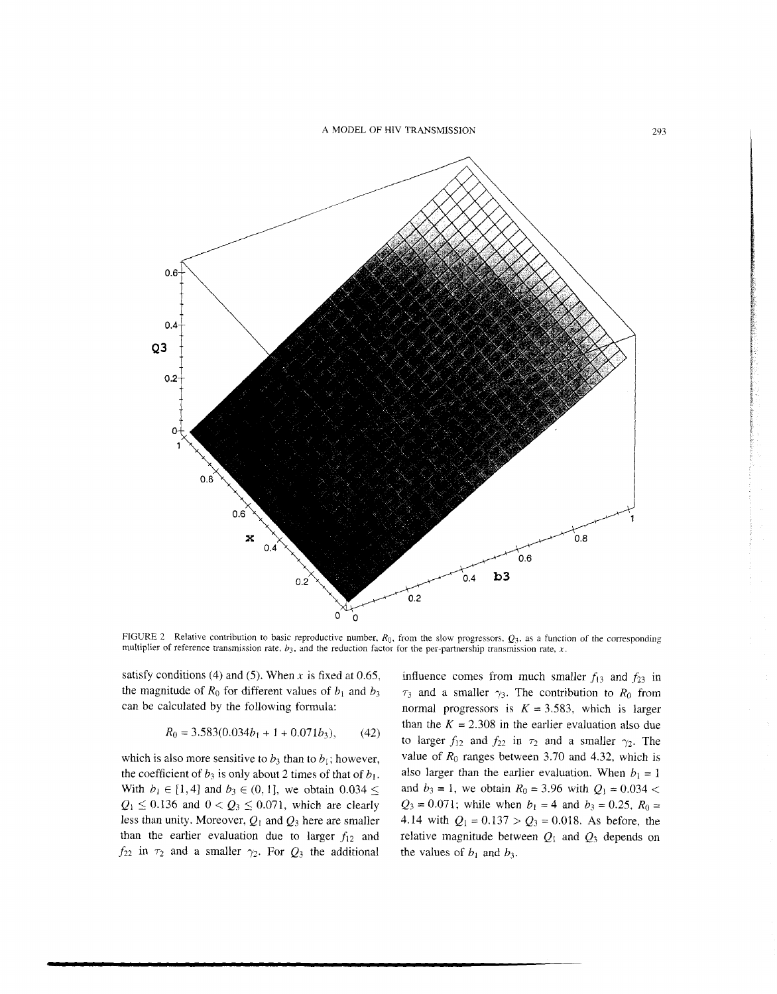**A** MODEL OF HIV TRANSMISSION



FIGURE 2 Relative contribution to basic reproductive number,  $R_0$ , from the slow progressors,  $Q_3$ , as a function of the corresponding multiplier of reference transmission rate,  $b_3$ , and the reduction factor for the per-partnership transmission rate, x.

satisfy conditions (4) and (5). When x is fixed at 0.65, the magnitude of  $R_0$  for different values of  $b_1$  and  $b_3$ can be calculated by the following formula:

$$
R_0 = 3.583(0.034b_1 + 1 + 0.071b_3), \qquad (42)
$$

which is also more sensitive to  $b_3$  than to  $b_1$ ; however, the coefficient of  $b_3$  is only about 2 times of that of  $b_1$ . With  $b_1 \in [1, 4]$  and  $b_3 \in (0, 1]$ , we obtain  $0.034 \le$  $Q_1 \le 0.136$  and  $0 < Q_3 \le 0.071$ , which are clearly less than unity. Moreover,  $Q_1$  and  $Q_3$  here are smaller than the earlier evaluation due to larger  $f_{12}$  and  $f_{22}$  in  $\tau_2$  and a smaller  $\gamma_2$ . For  $Q_3$  the additional

influence comes from much smaller  $f_{13}$  and  $f_{23}$  in  $\tau_3$  and a smaller  $\gamma_3$ . The contribution to  $R_0$  from normal progressors is  $K = 3.583$ , which is larger than the  $K = 2.308$  in the earlier evaluation also due to larger  $f_{12}$  and  $f_{22}$  in  $\tau_2$  and a smaller  $\gamma_2$ . The value of  $R_0$  ranges between 3.70 and 4.32, which is also larger than the earlier evaluation. When  $b_1 = 1$ and  $b_3 = 1$ , we obtain  $R_0 = 3.96$  with  $Q_1 = 0.034$  <  $Q_3 = 0.071$ ; while when  $b_1 = 4$  and  $b_3 = 0.25$ ,  $R_0 =$ 4.14 with  $Q_1 = 0.137 > Q_3 = 0.018$ . As before, the relative magnitude between  $Q_1$  and  $Q_3$  depends on the values of  $b_1$  and  $b_3$ .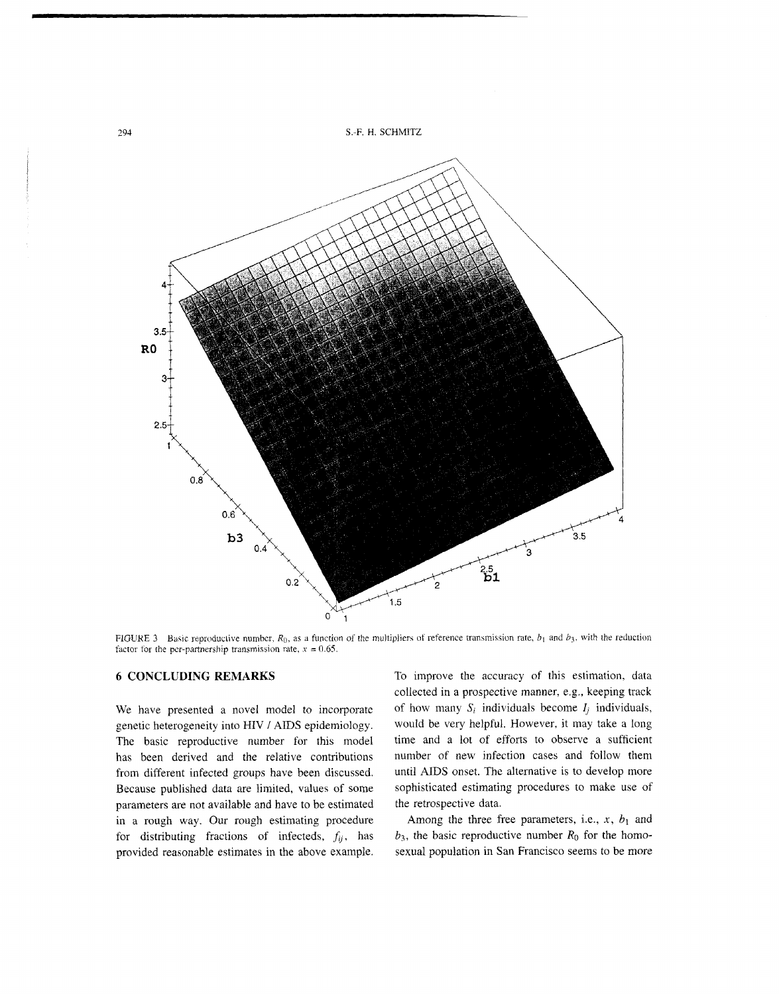

FIGURE 3 Basic reproductive number,  $R_0$ , as a function of the multipliers of reference transmission rate,  $b_1$  and  $b_3$ , with the reduction factor for the per-partnership transmission rate,  $x = 0.65$ .

# **6 CONCLUDING REMARKS**

We have presented a novel model to incorporate genetic heterogeneity into HIV / AIDS epidemiology. The basic reproductive number for this model has been derived and the relative contributions from different infected groups have been discussed. Because published data are limited, values of some parameters are not available and have to be estimated in a rough way. Our rough estimating procedure for distributing fractions of infecteds,  $f_{ij}$ , has provided reasonable estimates in the above example.

To improve the accuracy of this estimation, data collected in a prospective manner, e.g., keeping track of how many  $S_i$  individuals become  $I_i$  individuals, would be very helpful. However, it may take a long time and a lot of efforts to observe a sufficient number of new infection cases and follow them until AIDS onset. The alternative is to develop more sophisticated estimating procedures to make use of the retrospective data.

Among the three free parameters, i.e.,  $x$ ,  $b_1$  and  $b_3$ , the basic reproductive number  $R_0$  for the homosexual population in San Francisco seems to be more

294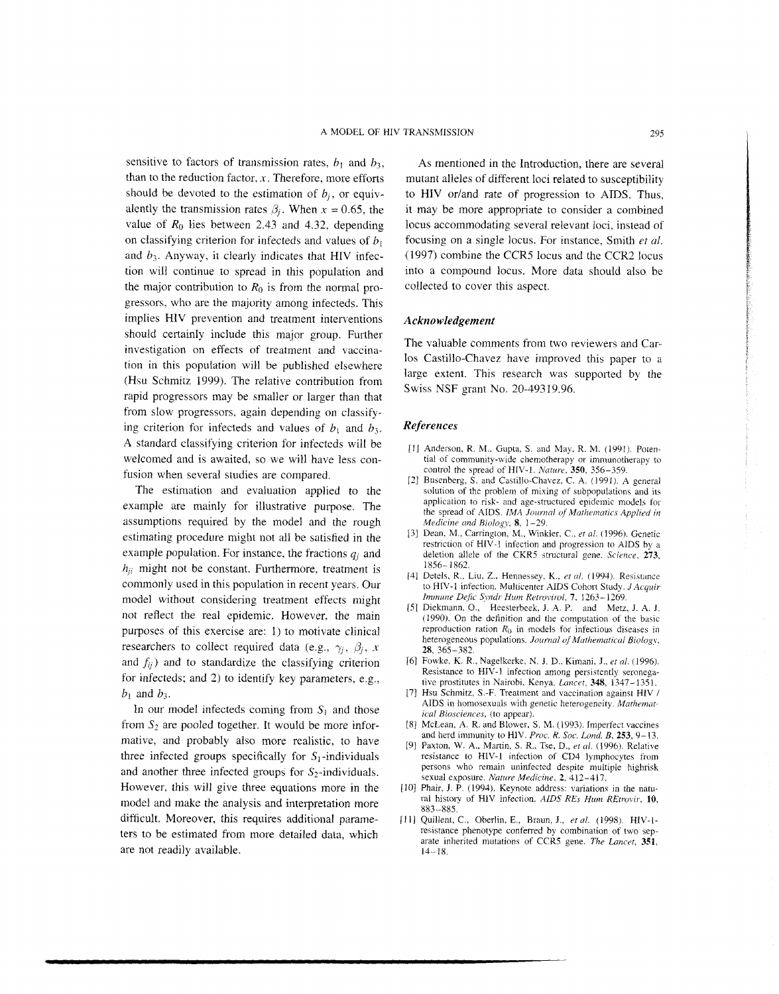sensitive to factors of transmission rates,  $b_1$  and  $b_3$ , than to the reduction factor,  $x$ . Therefore, more efforts should be devoted to the estimation of  $b_i$ , or equivalently the transmission rates  $\beta_i$ . When  $x = 0.65$ , the value of  $R_0$  lies between 2.43 and 4.32, depending on classifying criterion for infecteds and values of *b,*  and *b3.* Anyway, it clearly indicates that HIV infection will continue to spread in this population and the major contribution to  $R_0$  is from the normal progressors, who are the majority among infecteds. This implies HIV prevention and treatment interventions should certainly include this major group. Further investigation on effects of treatment and vaccination in this population will be published elsewhere (Hsu Schmitz 1999). The relative contribution from rapid progressors may be smaller or larger than that from slow progressors, again depending on classifying criterion for infecteds and values of  $b_1$  and  $b_3$ . A standard classifying criterion for infecteds will be welcomed and is awaited, so we will have less confusion when several studies are compared.

The estimation and evaluation applied to the example are mainly for illustrative purpose. The assumptions required by the model and the rough estimating procedure might not all be satisfied in the example population. For instance, the fractions  $q_i$  and  $h_{ji}$  might not be constant. Furthermore, treatment is commonly used in this population in recent years. Our model without considering treatment effects might not reflect the real epidemic. However, the main purposes of this exercise are: 1) to motivate clinical researchers to collect required data (e.g.,  $\gamma_i$ ,  $\beta_i$ , *x* and  $f_{ij}$ ) and to standardize the classifying criterion for infecteds; and 2) to identify key parameters, e.g.,  $b_1$  and  $b_3$ .

In our model infecteds coming from  $S_1$  and those from  $S_2$  are pooled together. It would be more informative, and probably also more realistic, to have three infected groups specifically for  $S_1$ -individuals and another three infected groups for  $S_2$ -individuals. However, this will give three equations more in the model and make the analysis and interpretation more difficult. Moreover, this requires additional parameters to be estimated from more detailed data, which are not readily available.

As mentioned in the Introduction, there are several mutant alleles of different loci related to susceptibility to HIV or/and rate of progression to AIDS. Thus, it may be more appropriate to consider a cornbined locus accommodating several relevant loci, instead of focusing on a single locus. For instance. Smith *et al.*  (1997) combine the CCRS locus and the CCR2 locus into a compound locus. More data should also be collected to cover this aspect.

#### *Acknowledgement*

The valuable comments from two reviewers and Carlos Castillo-Chavez have improved this paper to a large extent. This research was supported by the Swiss NSF grant No. 20-49319.96.

## *References*

- [1] Anderson, R. M., Gupta, S. and May, R. M. (1991). Potential of community-wide chemotherapy or immunotherapy to control the spread of HIV-I. *Nature.* **350.** 356-359.
- [2] Busenberg, S. and Castillo-Chavez, C. A. (1991). A general solution of the problem of mixing of subpopulations and its application to risk- and age-structured epidemic models for the spread of AIDS. *IMA Journal of Mathematics Applied in Medicine und Biology,* **8,** 1-29.
- [3] Dean. M., Carrington, M., Winkler, C., *era/.* (1996). Genetic restriction of HIV-1 infection and progression to AIDS by a deletion allele of the CKR5 structural gene. *Science*, **273**, 1856- 1862.
- 141 Detelq, R., Liu, Z., Hennessey. K.. *et ul.* (1994). Resistance to HIV- 1 infection. Multicenter AIDS Cohort Study. *J Acquir htrnurw Dejic Syndr* **Him** *Ketroiirol,* **7,** 1263-1269.
- [5] Diekmann. O., Heesterbeek, J. A. P. and Metz, J. A. I. (1990). On the definition and the computation of the basic reproduction ration  $R_0$  in models for infectious diseases in heterogeneous populations. Journal of Mathematical Biology, **28,** 365-382.
- [6] Fowke, K. R., Nagelkerke, N. J. D.. Kimani, J., *et 01.* (1996). Resistance to HIV-I infection among persistently seronegative prostitutes in Nairobi, Kenya. *Lancet*, 348, 1347-1351.
- 171 Hsu Schmitz, S.-F. Treatment and vaccination against HIV 1 AIDS in homosexuals with genetic heterogeneity. *Mathematical Biosciences,* (to appear).
- [8] McLean, A. R. and Blower, S. M. (1993). Imperfect vaccines and herd immunity to HIV. Proc. R. Soc. Lond. B, 253, 9-13.
- [91 Paxton, W. **A,.** Martin, S. R.. Tse, D., *era/.* (1996). Relative resistance to HIV-I infection of CD4 lymphocytes from persons who remain uninfected despite multiple highrisk sexual exposure. *Nature Medicine,* **2.** 412-417.
- [10] Phair, J. P. (1994). Keynote address: variations in the natu $r$ al history of HIV infection. *AIDS REs Hum REtrovir*, 10, 883-885.
- <sup>11</sup>1 I Quillent, C., Oberlin, E., Braun, J., **er** *ul.* (1 998). HIV-1 resistance phenotype conferred by combination of two separate inherited mutations of CCRS gene. *The Lancet.* **351,**   $14 - 18$ .